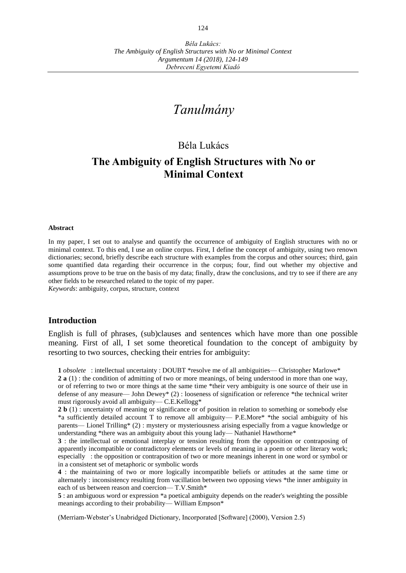# *Tanulmány*

## Béla Lukács

## **The Ambiguity of English Structures with No or Minimal Context**

#### **Abstract**

In my paper, I set out to analyse and quantify the occurrence of ambiguity of English structures with no or minimal context. To this end, I use an online corpus. First, I define the concept of ambiguity, using two renown dictionaries; second, briefly describe each structure with examples from the corpus and other sources; third, gain some quantified data regarding their occurrence in the corpus; four, find out whether my objective and assumptions prove to be true on the basis of my data; finally, draw the conclusions, and try to see if there are any other fields to be researched related to the topic of my paper.

*Keywords*: ambiguity, corpus, structure, context

#### **Introduction**

English is full of phrases, (sub)clauses and sentences which have more than one possible meaning. First of all, I set some theoretical foundation to the concept of ambiguity by resorting to two sources, checking their entries for ambiguity:

**1** *obsolete* : intellectual uncertainty : DOUBT \*resolve me of all ambiguities— Christopher Marlowe\*

**2 a** (1) : the condition of admitting of two or more meanings, of being understood in more than one way, or of referring to two or more things at the same time \*their very ambiguity is one source of their use in defense of any measure— John Dewey\* (2) : looseness of signification or reference \*the technical writer must rigorously avoid all ambiguity— C.E.Kellogg\*

**2 b** (1) : uncertainty of meaning or significance or of position in relation to something or somebody else \*a sufficiently detailed account T to remove all ambiguity— P.E.More\* \*the social ambiguity of his parents— Lionel Trilling\* (2) : mystery or mysteriousness arising especially from a vague knowledge or understanding \*there was an ambiguity about this young lady— Nathaniel Hawthorne\*

**3** : the intellectual or emotional interplay or tension resulting from the opposition or contraposing of apparently incompatible or contradictory elements or levels of meaning in a poem or other literary work; especially : the opposition or contraposition of two or more meanings inherent in one word or symbol or in a consistent set of metaphoric or symbolic words

**4** : the maintaining of two or more logically incompatible beliefs or attitudes at the same time or alternately : inconsistency resulting from vacillation between two opposing views \*the inner ambiguity in each of us between reason and coercion— T.V.Smith\*

**5** : an ambiguous word or expression \*a poetical ambiguity depends on the reader's weighting the possible meanings according to their probability— William Empson\*

(Merriam-Webster's Unabridged Dictionary, Incorporated [Software] (2000), Version 2.5)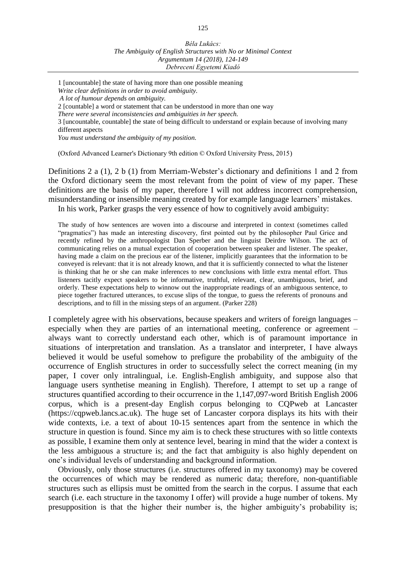1 [uncountable] the state of having more than one possible meaning *Write clear definitions in order to avoid ambiguity. A lot of humour depends on ambiguity.* 2 [countable] a word or statement that can be understood in more than one way *There were several inconsistencies and ambiguities in her speech.* 3 [uncountable, countable] the state of being difficult to understand or explain because of involving many different aspects *You must understand the ambiguity of my position.*

(Oxford Advanced Learner's Dictionary 9th edition © Oxford University Press, 2015)

Definitions 2 a (1), 2 b (1) from Merriam-Webster's dictionary and definitions 1 and 2 from the Oxford dictionary seem the most relevant from the point of view of my paper. These definitions are the basis of my paper, therefore I will not address incorrect comprehension, misunderstanding or insensible meaning created by for example language learners' mistakes. In his work, Parker grasps the very essence of how to cognitively avoid ambiguity:

The study of how sentences are woven into a discourse and interpreted in context (sometimes called "pragmatics") has made an interesting discovery, first pointed out by the philosopher Paul Grice and recently refined by the anthropologist Dan Sperber and the linguist Deirdre Wilson. The act of communicating relies on a mutual expectation of cooperation between speaker and listener. The speaker, having made a claim on the precious ear of the listener, implicitly guarantees that the information to be conveyed is relevant: that it is not already known, and that it is sufficiently connected to what the listener is thinking that he or she can make inferences to new conclusions with little extra mental effort. Thus listeners tacitly expect speakers to be informative, truthful, relevant, clear, unambiguous, brief, and orderly. These expectations help to winnow out the inappropriate readings of an ambiguous sentence, to piece together fractured utterances, to excuse slips of the tongue, to guess the referents of pronouns and descriptions, and to fill in the missing steps of an argument. (Parker 228)

I completely agree with his observations, because speakers and writers of foreign languages – especially when they are parties of an international meeting, conference or agreement – always want to correctly understand each other, which is of paramount importance in situations of interpretation and translation. As a translator and interpreter, I have always believed it would be useful somehow to prefigure the probability of the ambiguity of the occurrence of English structures in order to successfully select the correct meaning (in my paper, I cover only intralingual, i.e. English-English ambiguity, and suppose also that language users synthetise meaning in English). Therefore, I attempt to set up a range of structures quantified according to their occurrence in the 1,147,097-word British English 2006 corpus, which is a present-day English corpus belonging to CQPweb at Lancaster (https://cqpweb.lancs.ac.uk). The huge set of Lancaster corpora displays its hits with their wide contexts, i.e. a text of about 10-15 sentences apart from the sentence in which the structure in question is found. Since my aim is to check these structures with so little contexts as possible, I examine them only at sentence level, bearing in mind that the wider a context is the less ambiguous a structure is; and the fact that ambiguity is also highly dependent on one's individual levels of understanding and background information.

Obviously, only those structures (i.e. structures offered in my taxonomy) may be covered the occurrences of which may be rendered as numeric data; therefore, non-quantifiable structures such as ellipsis must be omitted from the search in the corpus. I assume that each search (i.e. each structure in the taxonomy I offer) will provide a huge number of tokens. My presupposition is that the higher their number is, the higher ambiguity's probability is;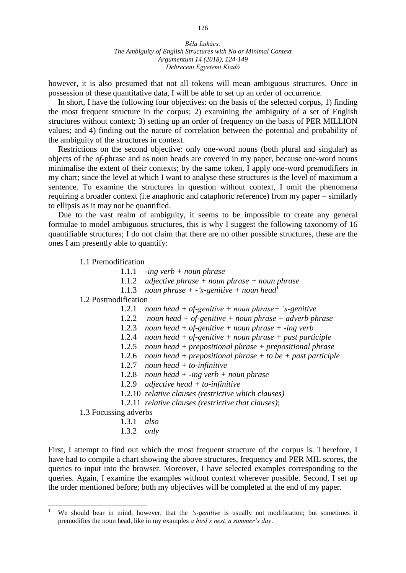however, it is also presumed that not all tokens will mean ambiguous structures. Once in possession of these quantitative data, I will be able to set up an order of occurrence.

In short, I have the following four objectives: on the basis of the selected corpus, 1) finding the most frequent structure in the corpus; 2) examining the ambiguity of a set of English structures without context; 3) setting up an order of frequency on the basis of PER MILLION values; and 4) finding out the nature of correlation between the potential and probability of the ambiguity of the structures in context.

Restrictions on the second objective: only one-word nouns (both plural and singular) as objects of the *of-*phrase and as noun heads are covered in my paper, because one-word nouns minimalise the extent of their contexts; by the same token, I apply one-word premodifiers in my chart; since the level at which I want to analyse these structures is the level of maximum a sentence. To examine the structures in question without context, I omit the phenomena requiring a broader context (i.e anaphoric and cataphoric reference) from my paper – similarly to ellipsis as it may not be quantified.

Due to the vast realm of ambiguity, it seems to be impossible to create any general formulae to model ambiguous structures, this is why I suggest the following taxonomy of 16 quantifiable structures; I do not claim that there are no other possible structures, these are the ones I am presently able to quantify:

1.1 Premodification

- 1.1.1 *-ing verb + noun phrase*
- 1.1.2 *adjective phrase + noun phrase + noun phrase*
- 1.1.3 *noun phrase + -'s-genitive + noun head*<sup>1</sup>

1.2 Postmodification

- 1.2.1 *noun head + of-genitive + noun phrase+ 's-genitive*
- 1.2.2 *noun head + of-genitive + noun phrase + adverb phrase*
- 1.2.3 *noun head + of-genitive + noun phrase + -ing verb*
- 1.2.4 *noun head + of-genitive + noun phrase + past participle*
- 1.2.5 *noun head + prepositional phrase + prepositional phrase*
- 1.2.6 *noun head + prepositional phrase + to be + past participle*
- 1.2.7 *noun head + to-infinitive*
- 1.2.8 *noun head + -ing verb + noun phrase*
- 1.2.9 *adjective head + to-infinitive*
- 1.2.10 *relative clauses (restrictive which clauses)*
- 1.2.11 *relative clauses (restrictive that clauses)*;

1.3 Focussing adverbs

 $\overline{a}$ 

- 1.3.1 *also*
- 1.3.2 *only*

First, I attempt to find out which the most frequent structure of the corpus is. Therefore, I have had to compile a chart showing the above structures, frequency and PER MIL scores, the queries to input into the browser. Moreover, I have selected examples corresponding to the queries. Again, I examine the examples without context wherever possible. Second, I set up the order mentioned before; both my objectives will be completed at the end of my paper.

<sup>1</sup> We should bear in mind, however, that the *'s-genitive* is usually not modification; but sometimes it premodifies the noun head, like in my examples *a bird's nest, a summer's day*.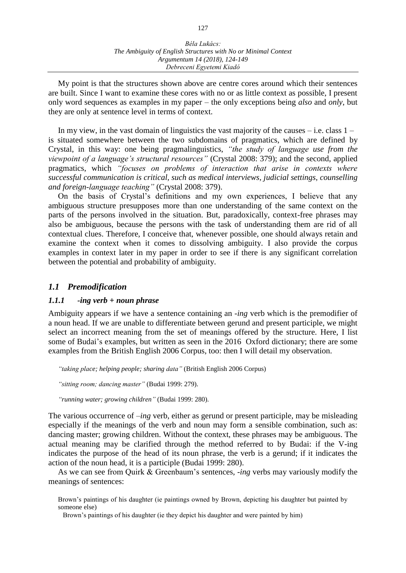My point is that the structures shown above are centre cores around which their sentences are built. Since I want to examine these cores with no or as little context as possible, I present only word sequences as examples in my paper – the only exceptions being *also* and *only*, but they are only at sentence level in terms of context.

In my view, in the vast domain of linguistics the vast majority of the causes  $-$  i.e. class  $1$ is situated somewhere between the two subdomains of pragmatics, which are defined by Crystal, in this way: one being pragmalinguistics, *"the study of language use from the viewpoint of a language's structural resources"* (Crystal 2008: 379); and the second, applied pragmatics, which *"focuses on problems of interaction that arise in contexts where successful communication is critical, such as medical interviews, judicial settings, counselling and foreign-language teaching"* (Crystal 2008: 379).

On the basis of Crystal's definitions and my own experiences, I believe that any ambiguous structure presupposes more than one understanding of the same context on the parts of the persons involved in the situation. But, paradoxically, context-free phrases may also be ambiguous, because the persons with the task of understanding them are rid of all contextual clues. Therefore, I conceive that, whenever possible, one should always retain and examine the context when it comes to dissolving ambiguity. I also provide the corpus examples in context later in my paper in order to see if there is any significant correlation between the potential and probability of ambiguity.

## *1.1 Premodification*

## *1.1.1 -ing verb + noun phrase*

Ambiguity appears if we have a sentence containing an *-ing* verb which is the premodifier of a noun head. If we are unable to differentiate between gerund and present participle, we might select an incorrect meaning from the set of meanings offered by the structure. Here, I list some of Budai's examples, but written as seen in the 2016 Oxford dictionary; there are some examples from the British English 2006 Corpus, too: then I will detail my observation.

*"taking place; helping people; sharing data"* (British English 2006 Corpus)

*"sitting room; dancing master"* (Budai 1999: 279).

*"running water; growing children"* (Budai 1999: 280).

The various occurrence of *–ing* verb, either as gerund or present participle, may be misleading especially if the meanings of the verb and noun may form a sensible combination, such as: dancing master; growing children. Without the context, these phrases may be ambiguous. The actual meaning may be clarified through the method referred to by Budai: if the V-ing indicates the purpose of the head of its noun phrase, the verb is a gerund; if it indicates the action of the noun head, it is a participle (Budai 1999: 280).

As we can see from Quirk & Greenbaum's sentences, *-ing* verbs may variously modify the meanings of sentences:

Brown's paintings of his daughter (ie paintings owned by Brown, depicting his daughter but painted by someone else)

Brown's paintings of his daughter (ie they depict his daughter and were painted by him)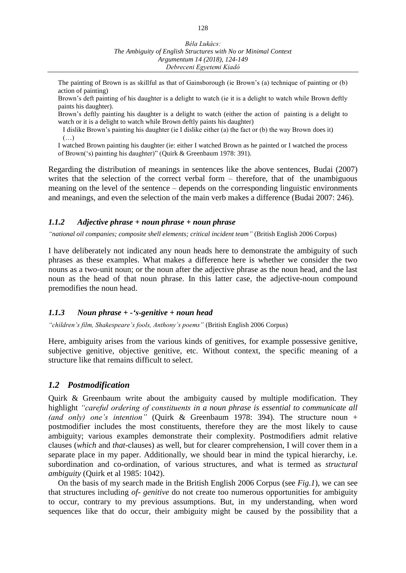- The painting of Brown is as skillful as that of Gainsborough (ie Brown's (a) technique of painting or (b) action of painting)
- Brown's deft painting of his daughter is a delight to watch (ie it is a delight to watch while Brown deftly paints his daughter).

Brown's deftly painting his daughter is a delight to watch (either the action of painting is a delight to watch or it is a delight to watch while Brown deftly paints his daughter)

I dislike Brown's painting his daughter (ie I dislike either (a) the fact or (b) the way Brown does it) (…)

I watched Brown painting his daughter (ie: either I watched Brown as he painted or I watched the process of Brown('s) painting his daughter)" (Quirk & Greenbaum 1978: 391).

Regarding the distribution of meanings in sentences like the above sentences, Budai (2007) writes that the selection of the correct verbal form – therefore, that of the unambiguous meaning on the level of the sentence – depends on the corresponding linguistic environments and meanings, and even the selection of the main verb makes a difference (Budai 2007: 246).

#### *1.1.2 Adjective phrase + noun phrase + noun phrase*

*"national oil companies; composite shell elements; critical incident team"* (British English 2006 Corpus)

I have deliberately not indicated any noun heads here to demonstrate the ambiguity of such phrases as these examples. What makes a difference here is whether we consider the two nouns as a two-unit noun; or the noun after the adjective phrase as the noun head, and the last noun as the head of that noun phrase. In this latter case, the adjective-noun compound premodifies the noun head.

#### *1.1.3 Noun phrase + -'s-genitive + noun head*

*"children's film, Shakespeare's fools, Anthony's poems"* (British English 2006 Corpus)

Here, ambiguity arises from the various kinds of genitives, for example possessive genitive, subjective genitive, objective genitive, etc. Without context, the specific meaning of a structure like that remains difficult to select.

#### *1.2 Postmodification*

Quirk & Greenbaum write about the ambiguity caused by multiple modification. They highlight *"careful ordering of constituents in a noun phrase is essential to communicate all (and only) one's intention"* (Quirk & Greenbaum 1978: 394). The structure noun + postmodifier includes the most constituents, therefore they are the most likely to cause ambiguity; various examples demonstrate their complexity. Postmodifiers admit relative clauses (*which* and *that*-clauses) as well, but for clearer comprehension, I will cover them in a separate place in my paper. Additionally, we should bear in mind the typical hierarchy, i.e. subordination and co-ordination, of various structures, and what is termed as *structural ambiguity* (Quirk et al 1985: 1042).

On the basis of my search made in the British English 2006 Corpus (see *Fig.1*), we can see that structures including *of- genitive* do not create too numerous opportunities for ambiguity to occur, contrary to my previous assumptions. But, in my understanding, when word sequences like that do occur, their ambiguity might be caused by the possibility that a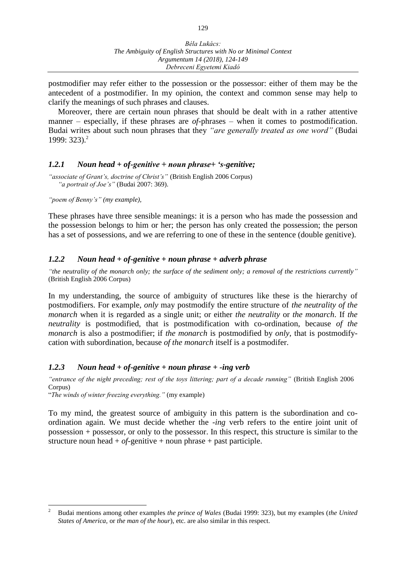postmodifier may refer either to the possession or the possessor: either of them may be the antecedent of a postmodifier. In my opinion, the context and common sense may help to clarify the meanings of such phrases and clauses.

Moreover, there are certain noun phrases that should be dealt with in a rather attentive manner – especially, if these phrases are *of*-phrases – when it comes to postmodification. Budai writes about such noun phrases that they *"are generally treated as one word"* (Budai 1999: 323). 2

#### *1.2.1 Noun head + of-genitive + noun phrase+ 's-genitive;*

*"associate of Grant's, doctrine of Christ's"* (British English 2006 Corpus) *"a portrait of Joe's"* (Budai 2007: 369).

*"poem of Benny's" (my example),*

These phrases have three sensible meanings: it is a person who has made the possession and the possession belongs to him or her; the person has only created the possession; the person has a set of possessions, and we are referring to one of these in the sentence (double genitive).

#### *1.2.2 Noun head + of-genitive + noun phrase + adverb phrase*

*"the neutrality of the monarch only; the surface of the sediment only; a removal of the restrictions currently"* (British English 2006 Corpus)

In my understanding, the source of ambiguity of structures like these is the hierarchy of postmodifiers. For example, *only* may postmodify the entire structure of *the neutrality of the monarch* when it is regarded as a single unit; or either *the neutrality* or *the monarch*. If *the neutrality* is postmodified, that is postmodification with co-ordination, because *of the monarch* is also a postmodifier; if *the monarch* is postmodified by *only*, that is postmodifycation with subordination, because *of the monarch* itself is a postmodifer.

#### *1.2.3 Noun head + of-genitive + noun phrase + -ing verb*

*"entrance of the night preceding; rest of the toys littering; part of a decade running"* (British English 2006 Corpus)

"*The winds of winter freezing everything."* (my example)

To my mind, the greatest source of ambiguity in this pattern is the subordination and coordination again. We must decide whether the *-ing* verb refers to the entire joint unit of possession + possessor, or only to the possessor. In this respect, this structure is similar to the structure noun head  $+$  *of*-genitive  $+$  noun phrase  $+$  past participle.

 $\overline{c}$ <sup>2</sup> Budai mentions among other examples *the prince of Wales* (Budai 1999: 323), but my examples (*the United States of America,* or *the man of the hour*), etc. are also similar in this respect.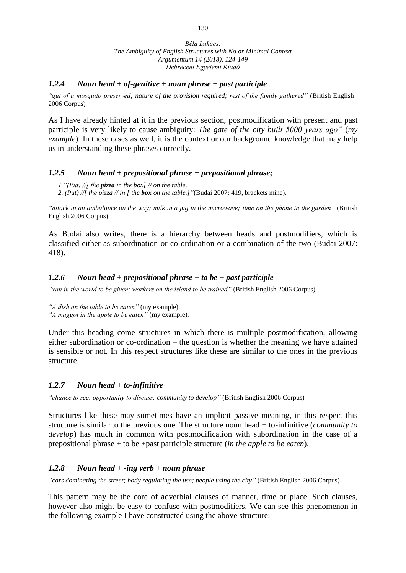#### *1.2.4 Noun head + of-genitive + noun phrase + past participle*

*"gut of a mosquito preserved; nature of the provision required; rest of the family gathered"* (British English 2006 Corpus)

As I have already hinted at it in the previous section, postmodification with present and past participle is very likely to cause ambiguity: *The gate of the city built 5000 years ago"* (*my example*)*.* In these cases as well, it is the context or our background knowledge that may help us in understanding these phrases correctly.

#### *1.2.5 Noun head + prepositional phrase + prepositional phrase;*

*1."(Put) //[ the pizza in the box] // on the table. 2. (Put) //[ the pizza // in [ the box on the table.]"*(Budai 2007: 419, brackets mine).

*"attack in an ambulance on the way; milk in a jug in the microwave; time on the phone in the garden"* (British English 2006 Corpus)

As Budai also writes, there is a hierarchy between heads and postmodifiers, which is classified either as subordination or co-ordination or a combination of the two (Budai 2007: 418).

#### *1.2.6 Noun head + prepositional phrase + to be + past participle*

*"van in the world to be given; workers on the island to be trained"* (British English 2006 Corpus)

*"A dish on the table to be eaten"* (my example). *"A maggot in the apple to be eaten"* (my example).

Under this heading come structures in which there is multiple postmodification, allowing either subordination or co-ordination – the question is whether the meaning we have attained is sensible or not. In this respect structures like these are similar to the ones in the previous structure.

## *1.2.7 Noun head + to-infinitive*

*"chance to see; opportunity to discuss; community to develop"* (British English 2006 Corpus)

Structures like these may sometimes have an implicit passive meaning, in this respect this structure is similar to the previous one. The structure noun head + to-infinitive (*community to develop*) has much in common with postmodification with subordination in the case of a prepositional phrase + to be +past participle structure (*in the apple to be eaten*).

## *1.2.8 Noun head + -ing verb + noun phrase*

*"cars dominating the street; body regulating the use; people using the city"* (British English 2006 Corpus)

This pattern may be the core of adverbial clauses of manner, time or place. Such clauses, however also might be easy to confuse with postmodifiers. We can see this phenomenon in the following example I have constructed using the above structure: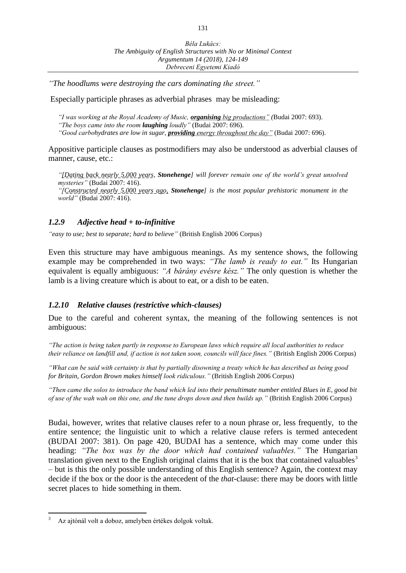*"The hoodlums were destroying the cars dominating the street."*

Especially participle phrases as adverbial phrases may be misleading:

*"I was working at the Royal Academy of Music, organising big productions" (*Budai 2007: 693). *"The boys came into the room laughing loudly"* (Budai 2007: 696). *"Good carbohydrates are low in sugar, providing energy throughout the day"* (Budai 2007: 696).

Appositive participle clauses as postmodifiers may also be understood as adverbial clauses of manner, cause, etc.:

*"[Dating back nearly 5,000 years, Stonehenge] will forever remain one of the world's great unsolved mysteries"* (Budai 2007: 416). *"[Constructed nearly 5,000 years ago, Stonehenge] is the most popular prehistoric monument in the world"* (Budai 2007: 416).

#### *1.2.9 Adjective head + to-infinitive*

*"easy to use; best to separate; hard to believe"* (British English 2006 Corpus)

Even this structure may have ambiguous meanings. As my sentence shows, the following example may be comprehended in two ways: *"The lamb is ready to eat."* Its Hungarian equivalent is equally ambiguous: *"A bárány evésre kész."* The only question is whether the lamb is a living creature which is about to eat, or a dish to be eaten.

#### *1.2.10 Relative clauses (restrictive which-clauses)*

Due to the careful and coherent syntax, the meaning of the following sentences is not ambiguous:

*"The action is being taken partly in response to European laws which require all local authorities to reduce their reliance on landfill and, if action is not taken soon, councils will face fines."* (British English 2006 Corpus)

*"What can be said with certainty is that by partially disowning a treaty which he has described as being good for Britain, Gordon Brown makes himself look ridiculous."* (British English 2006 Corpus)

*"Then came the solos to introduce the band which led into their penultimate number entitled Blues in E, good bit of use of the wah wah on this one, and the tune drops down and then builds up."* (British English 2006 Corpus)

Budai, however, writes that relative clauses refer to a noun phrase or, less frequently, to the entire sentence; the linguistic unit to which a relative clause refers is termed antecedent (BUDAI 2007: 381). On page 420, BUDAI has a sentence, which may come under this heading: *"The box was by the door which had contained valuables."* The Hungarian translation given next to the English original claims that it is the box that contained valuables<sup>3</sup> – but is this the only possible understanding of this English sentence? Again, the context may decide if the box or the door is the antecedent of the *that*-clause: there may be doors with little secret places to hide something in them.

 $\overline{a}$ 

<sup>3</sup> Az ajtónál volt a doboz, amelyben értékes dolgok voltak.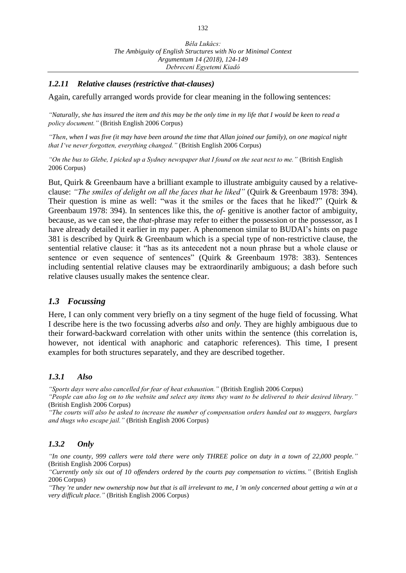#### *1.2.11 Relative clauses (restrictive that-clauses)*

Again, carefully arranged words provide for clear meaning in the following sentences:

*"Naturally, she has insured the item and this may be the only time in my life that I would be keen to read a policy document."* (British English 2006 Corpus)

*"Then, when I was five (it may have been around the time that Allan joined our family), on one magical night that I've never forgotten, everything changed."* (British English 2006 Corpus)

*"On the bus to Glebe, I picked up a Sydney newspaper that I found on the seat next to me."* (British English 2006 Corpus)

But, Quirk & Greenbaum have a brilliant example to illustrate ambiguity caused by a relativeclause: *"The smiles of delight on all the faces that he liked"* (Quirk & Greenbaum 1978: 394). Their question is mine as well: "was it the smiles or the faces that he liked?" (Quirk & Greenbaum 1978: 394). In sentences like this, the *of-* genitive is another factor of ambiguity, because, as we can see, the *that-*phrase may refer to either the possession or the possessor, as I have already detailed it earlier in my paper. A phenomenon similar to BUDAI's hints on page 381 is described by Quirk & Greenbaum which is a special type of non-restrictive clause, the sentential relative clause: it "has as its antecedent not a noun phrase but a whole clause or sentence or even sequence of sentences" (Quirk & Greenbaum 1978: 383). Sentences including sentential relative clauses may be extraordinarily ambiguous; a dash before such relative clauses usually makes the sentence clear.

## *1.3 Focussing*

Here, I can only comment very briefly on a tiny segment of the huge field of focussing. What I describe here is the two focussing adverbs *also* and *only.* They are highly ambiguous due to their forward-backward correlation with other units within the sentence (this correlation is, however, not identical with anaphoric and cataphoric references). This time, I present examples for both structures separately, and they are described together.

#### *1.3.1 Also*

*"Sports days were also cancelled for fear of heat exhaustion."* (British English 2006 Corpus)

*"People can also log on to the website and select any items they want to be delivered to their desired library."* (British English 2006 Corpus)

*"The courts will also be asked to increase the number of compensation orders handed out to muggers, burglars and thugs who escape jail."* (British English 2006 Corpus)

#### *1.3.2 Only*

*"In one county, 999 callers were told there were only THREE police on duty in a town of 22,000 people."* (British English 2006 Corpus)

*"Currently only six out of 10 offenders ordered by the courts pay compensation to victims."* (British English 2006 Corpus)

*"They 're under new ownership now but that is all irrelevant to me, I 'm only concerned about getting a win at a very difficult place."* (British English 2006 Corpus)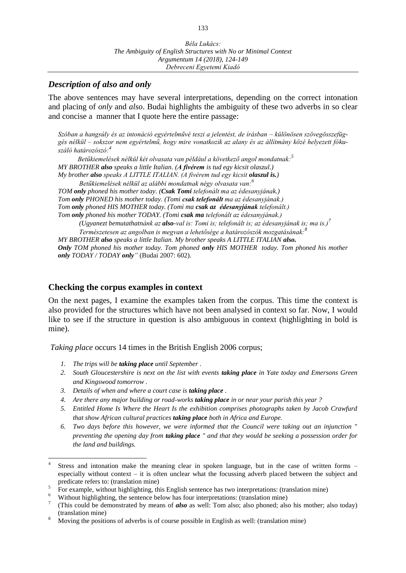## *Description of also and only*

The above sentences may have several interpretations, depending on the correct intonation and placing of *only* and *also*. Budai highlights the ambiguity of these two adverbs in so clear and concise a manner that I quote here the entire passage:

*Szóban a hangsúly és az intonáció egyértelművé teszi a jelentést, de írásban – különösen szövegösszefüggés nélkül – sokszor nem egyértelmű, hogy mire vonatkozik az alany és az állítmány közé helyezett fókuszáló határozószó:<sup>4</sup>*

*Betűkiemelések nélkül két olvasata van például a következő angol mondatnak:<sup>5</sup> MY BROTHER also speaks a little Italian. (A fivérem is tud egy kicsit olaszul.) My brother also speaks A LITTLE ITALIAN. (A fivérem tud egy kicsit olaszul is.) Betűkiemelések nélkül az alábbi mondatnak négy olvasata van:<sup>6</sup>*

*TOM only phoned his mother today. (Csak Tomi telefonált ma az édesanyjának.) Tom only PHONED his mother today. (Tomi csak telefonált ma az édesanyjának.) Tom only phoned HIS MOTHER today. (Tomi ma csak az édesanyjának telefonált.) Tom only phoned his mother TODAY. (Tomi csak ma telefonált az édesanyjának.) (Ugyanezt bemutathatnánk az also-val is: Tomi is; telefonált is; az édesanyjának is; ma is.)<sup>7</sup> Természetesen az angolban is megvan a lehetősége a határozószók mozgatásának:<sup>8</sup> MY BROTHER also speaks a little Italian. My brother speaks A LITTLE ITALIAN also.*

*Only TOM phoned his mother today. Tom phoned only HIS MOTHER today. Tom phoned his mother only TODAY / TODAY only"* (Budai 2007: 602).

## **Checking the corpus examples in context**

On the next pages, I examine the examples taken from the corpus. This time the context is also provided for the structures which have not been analysed in context so far. Now, I would like to see if the structure in question is also ambiguous in context (highlighting in bold is mine).

*Taking place* occurs 14 times in the British English 2006 corpus;

*1. The trips will be [taking place](https://cqpweb.lancs.ac.uk/be2006/context.php?batch=0&qname=frivf85ds1&uT=y) until September .*

 $\overline{a}$ 

- *2. South Gloucestershire is next on the list with events [taking place](https://cqpweb.lancs.ac.uk/be2006/context.php?batch=1&qname=frivf85ds1&uT=y) in Yate today and Emersons Green and Kingswood tomorrow .*
- *3. Details of when and where a court case is [taking place](https://cqpweb.lancs.ac.uk/be2006/context.php?batch=2&qname=frivf85ds1&uT=y) .*
- *4. Are there any major building or road-works [taking place](https://cqpweb.lancs.ac.uk/be2006/context.php?batch=3&qname=frivf85ds1&uT=y) in or near your parish this year ?*
- *5. Entitled Home Is Where the Heart Is the exhibition comprises photographs taken by Jacob Crawfurd that show African cultural practices taking place both in Africa and Europe.*
- *6. Two days before this however, we were informed that the Council were taking out an injunction " preventing the opening day from taking place " and that they would be seeking a possession order for the land and buildings.*

<sup>4</sup> Stress and intonation make the meaning clear in spoken language, but in the case of written forms – especially without context – it is often unclear what the focussing adverb placed between the subject and predicate refers to: (translation mine)

<sup>5</sup> For example, without highlighting, this English sentence has two interpretations: (translation mine)

 $\overline{6}$  Without highlighting, the sentence below has four interpretations: (translation mine)

<sup>7</sup> (This could be demonstrated by means of *also* as well: Tom also; also phoned; also his mother; also today) (translation mine)

<sup>8</sup> Moving the positions of adverbs is of course possible in English as well: (translation mine)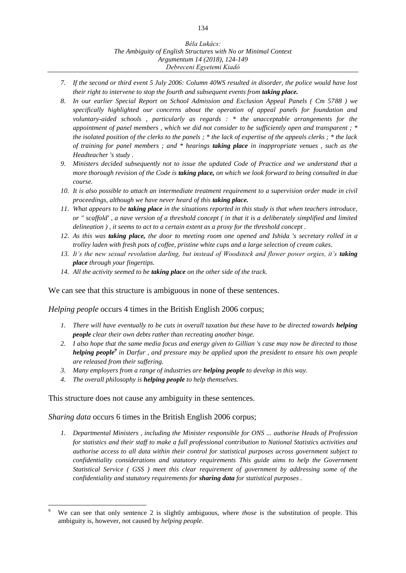- *7. If the second or third event 5 July 2006: Column 40WS resulted in disorder, the police would have lost their right to intervene to stop the fourth and subsequent events from <i>taking place.*
- *8. In our earlier Special Report on School Admission and Exclusion Appeal Panels ( Cm 5788 ) we specifically highlighted our concerns about the operation of appeal panels for foundation and voluntary-aided schools , particularly as regards : \* the unacceptable arrangements for the appointment of panel members , which we did not consider to be sufficiently open and transparent ; \* the isolated position of the clerks to the panels ; \* the lack of expertise of the appeals clerks ; \* the lack of training for panel members ; and \* hearings taking place in inappropriate venues , such as the Headteacher 's study .*
- *9. Ministers decided subsequently not to issue the updated Code of Practice and we understand that a more thorough revision of the Code is taking place, on which we look forward to being consulted in due course.*
- *10. It is also possible to attach an intermediate treatment requirement to a supervision order made in civil proceedings, although we have never heard of this taking place.*
- *11. What appears to be taking place in the situations reported in this study is that when teachers introduce, or " scaffold' , a nave version of a threshold concept ( in that it is a deliberately simplified and limited delineation ) , it seems to act to a certain extent as a proxy for the threshold concept .*
- *12. As this was taking place, the door to meeting room one opened and Ishida 's secretary rolled in a trolley laden with fresh pots of coffee, pristine white cups and a large selection of cream cakes.*
- 13. It's the new sexual revolution darling, but instead of Woodstock and flower power orgies, it's taking *place through your fingertips.*
- *14. All the activity seemed to be taking place on the other side of the track.*

We can see that this structure is ambiguous in none of these sentences.

*Helping people* occurs 4 times in the British English 2006 corpus;

- *1. There will have eventually to be cuts in overall taxation but these have to be directed towards helping people clear their own debts rather than recreating another binge.*
- *2. I also hope that the same media focus and energy given to Gillian 's case may now be directed to those helping people<sup>9</sup> in Darfur , and pressure may be applied upon the president to ensure his own people are released from their suffering.*
- *3. Many employers from a range of industries are helping people to develop in this way.*
- *4. The overall philosophy is helping people to help themselves.*

This structure does not cause any ambiguity in these sentences.

*Sharing data* occurs 6 times in the British English 2006 corpus;

*1. Departmental Ministers , including the Minister responsible for ONS ... authorise Heads of Profession for statistics and their staff to make a full professional contribution to National Statistics activities and authorise access to all data within their control for statistical purposes across government subject to confidentiality considerations and statutory requirements This guide aims to help the Government Statistical Service ( GSS ) meet this clear requirement of government by addressing some of the confidentiality and statutory requirements for sharing data for statistical purposes .*

 $\overline{a}$ <sup>9</sup> We can see that only sentence 2 is slightly ambiguous, where *those* is the substitution of people. This ambiguity is, however, not caused by *helping people.*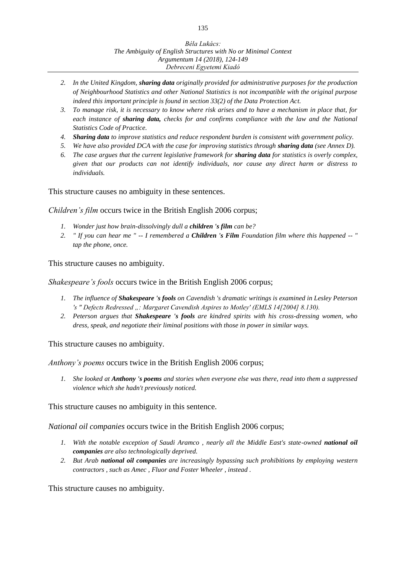- *2. In the United Kingdom, sharing data originally provided for administrative purposes for the production of Neighbourhood Statistics and other National Statistics is not incompatible with the original purpose indeed this important principle is found in section 33(2) of the Data Protection Act.*
- *3. To manage risk, it is necessary to know where risk arises and to have a mechanism in place that, for each instance of sharing data, checks for and confirms compliance with the law and the National Statistics Code of Practice.*
- *4. Sharing data to improve statistics and reduce respondent burden is consistent with government policy.*
- *5. We have also provided DCA with the case for improving statistics through sharing data (see Annex D).*
- *6. The case argues that the current legislative framework for sharing data for statistics is overly complex, given that our products can not identify individuals, nor cause any direct harm or distress to individuals.*

This structure causes no ambiguity in these sentences.

*Children's film* occurs twice in the British English 2006 corpus;

- *1. Wonder just how brain-dissolvingly dull a children 's film can be?*
- *2. " If you can hear me " -- I remembered a Children 's Film Foundation film where this happened -- " tap the phone, once.*

This structure causes no ambiguity.

#### *Shakespeare's fools* occurs twice in the British English 2006 corpus;

- *1. The influence of Shakespeare 's fools on Cavendish 's dramatic writings is examined in Lesley Peterson 's " Defects Redressed ..: Margaret Cavendish Aspires to Motley' (EMLS 14[2004] 8.130).*
- *2. Peterson argues that Shakespeare 's fools are kindred spirits with his cross-dressing women, who dress, speak, and negotiate their liminal positions with those in power in similar ways.*

This structure causes no ambiguity.

*Anthony's poems* occurs twice in the British English 2006 corpus;

*1. She looked at Anthony 's poems and stories when everyone else was there, read into them a suppressed violence which she hadn't previously noticed.*

This structure causes no ambiguity in this sentence.

*National oil companies* occurs twice in the British English 2006 corpus;

- 1. With the notable exception of Saudi Aramco, nearly all the Middle East's state-owned national oil *companies are also technologically deprived.*
- *2. But Arab national oil companies are increasingly bypassing such prohibitions by employing western contractors , such as Amec , Fluor and Foster Wheeler , instead .*

This structure causes no ambiguity.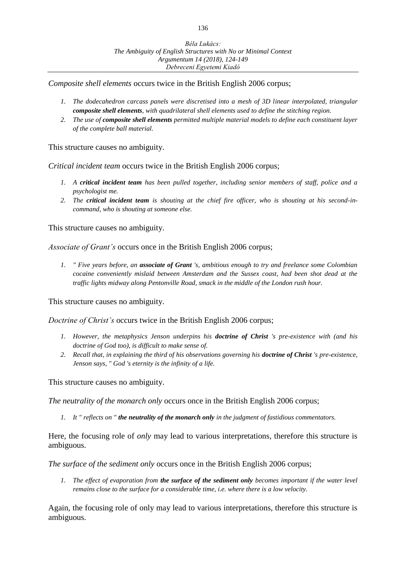*Composite shell elements* occurs twice in the British English 2006 corpus;

- *1. The dodecahedron carcass panels were discretised into a mesh of 3D linear interpolated, triangular composite shell elements, with quadrilateral shell elements used to define the stitching region.*
- *2. The use of composite shell elements permitted multiple material models to define each constituent layer of the complete ball material.*

This structure causes no ambiguity.

*Critical incident team* occurs twice in the British English 2006 corpus;

- *1. A critical incident team has been pulled together, including senior members of staff, police and a psychologist me.*
- *2. The critical incident team is shouting at the chief fire officer, who is shouting at his second-incommand, who is shouting at someone else.*

This structure causes no ambiguity.

*Associate of Grant's* occurs once in the British English 2006 corpus;

*1. " Five years before, an associate of Grant 's, ambitious enough to try and freelance some Colombian cocaine conveniently mislaid between Amsterdam and the Sussex coast, had been shot dead at the traffic lights midway along Pentonville Road, smack in the middle of the London rush hour.*

This structure causes no ambiguity.

*Doctrine of Christ's* occurs twice in the British English 2006 corpus;

- *1. However, the metaphysics Jenson underpins his doctrine of Christ 's pre-existence with (and his doctrine of God too), is difficult to make sense of.*
- *2. Recall that, in explaining the third of his observations governing his doctrine of Christ 's pre-existence, Jenson says, " God 's eternity is the infinity of a life.*

This structure causes no ambiguity.

*The neutrality of the monarch only* occurs once in the British English 2006 corpus;

*1. It " reflects on " the neutrality of the monarch only in the judgment of fastidious commentators.*

Here, the focusing role of *only* may lead to various interpretations, therefore this structure is ambiguous.

*The surface of the sediment only* occurs once in the British English 2006 corpus;

*1. The effect of evaporation from the surface of the sediment only becomes important if the water level remains close to the surface for a considerable time, i.e. where there is a low velocity.*

Again, the focusing role of only may lead to various interpretations, therefore this structure is ambiguous.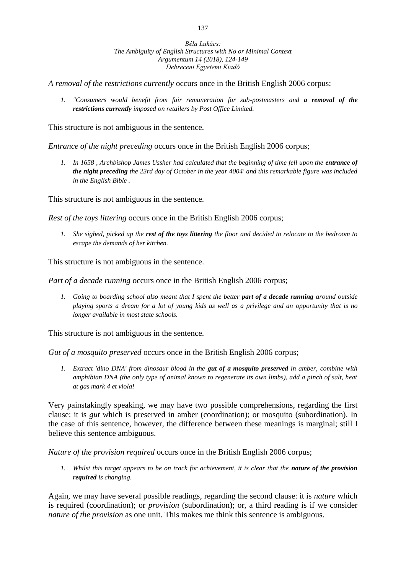*A removal of the restrictions currently* occurs once in the British English 2006 corpus;

*1. "Consumers would benefit from fair remuneration for sub-postmasters and a removal of the restrictions currently imposed on retailers by Post Office Limited.* 

This structure is not ambiguous in the sentence.

*Entrance of the night preceding* occurs once in the British English 2006 corpus;

1. In 1658, Archbishop James Ussher had calculated that the beginning of time fell upon the *entrance of the night preceding the 23rd day of October in the year 4004' and this remarkable figure was included in the English Bible .*

This structure is not ambiguous in the sentence.

*Rest of the toys littering* occurs once in the British English 2006 corpus;

*1. She sighed, picked up the rest of the toys littering the floor and decided to relocate to the bedroom to escape the demands of her kitchen.*

This structure is not ambiguous in the sentence.

*Part of a decade running occurs once in the British English 2006 corpus;* 

*1. Going to boarding school also meant that I spent the better part of a decade running around outside playing sports a dream for a lot of young kids as well as a privilege and an opportunity that is no longer available in most state schools.*

This structure is not ambiguous in the sentence.

*Gut of a mosquito preserved* occurs once in the British English 2006 corpus;

*1. Extract 'dino DNA' from dinosaur blood in the gut of a mosquito preserved in amber, combine with amphibian DNA (the only type of animal known to regenerate its own limbs), add a pinch of salt, heat at gas mark 4 et viola!*

Very painstakingly speaking, we may have two possible comprehensions, regarding the first clause: it is *gut* which is preserved in amber (coordination); or mosquito (subordination). In the case of this sentence, however, the difference between these meanings is marginal; still I believe this sentence ambiguous.

*Nature of the provision required* occurs once in the British English 2006 corpus;

*1.* Whilst this target appears to be on track for achievement, it is clear that the nature of the provision *required is changing.*

Again, we may have several possible readings, regarding the second clause: it is *nature* which is required (coordination); or *provision* (subordination); or, a third reading is if we consider *nature of the provision* as one unit. This makes me think this sentence is ambiguous.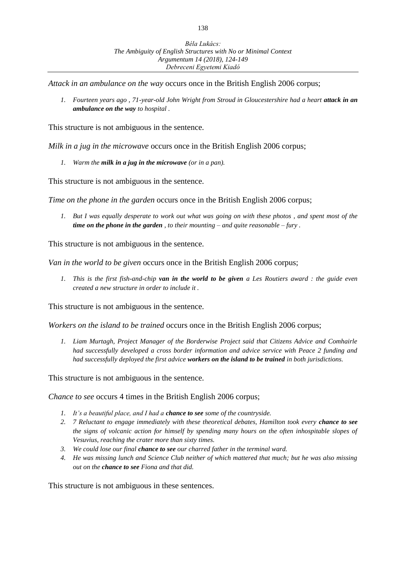*Attack in an ambulance on the way* occurs once in the British English 2006 corpus;

*1.* Fourteen years ago , 71-year-old John Wright from Stroud in Gloucestershire had a heart attack in an *ambulance on the way to hospital .*

This structure is not ambiguous in the sentence.

*Milk in a jug in the microwave* occurs once in the British English 2006 corpus;

*1. Warm the milk in a jug in the microwave (or in a pan).*

This structure is not ambiguous in the sentence.

*Time on the phone in the garden occurs once in the British English 2006 corpus;* 

*1. But I was equally desperate to work out what was going on with these photos , and spent most of the time on the phone in the garden , to their mounting – and quite reasonable – fury .*

This structure is not ambiguous in the sentence.

*Van in the world to be given* occurs once in the British English 2006 corpus;

*1. This is the first fish-and-chip van in the world to be given a Les Routiers award : the guide even created a new structure in order to include it .*

This structure is not ambiguous in the sentence.

*Workers on the island to be trained* occurs once in the British English 2006 corpus;

*1. Liam Murtagh, Project Manager of the Borderwise Project said that Citizens Advice and Comhairle had successfully developed a cross border information and advice service with Peace 2 funding and had successfully deployed the first advice workers on the island to be trained in both jurisdictions.*

This structure is not ambiguous in the sentence.

*Chance to see* occurs 4 times in the British English 2006 corpus;

- *1. It's a beautiful place, and I had a chance to see some of the countryside.*
- *2. 7 Reluctant to engage immediately with these theoretical debates, Hamilton took every chance to see the signs of volcanic action for himself by spending many hours on the often inhospitable slopes of Vesuvius, reaching the crater more than sixty times.*
- *3. We could lose our final chance to see our charred father in the terminal ward.*
- *4. He was missing lunch and Science Club neither of which mattered that much; but he was also missing out on the chance to see Fiona and that did.*

This structure is not ambiguous in these sentences.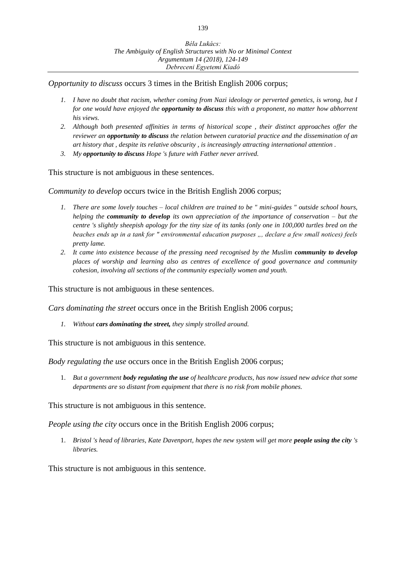*Opportunity to discuss* occurs 3 times in the British English 2006 corpus;

- *1. I have no doubt that racism, whether coming from Nazi ideology or perverted genetics, is wrong, but I for one would have enjoyed the opportunity to discuss this with a proponent, no matter how abhorrent his views.*
- *2. Although both presented affinities in terms of historical scope , their distinct approaches offer the reviewer an opportunity to discuss the relation between curatorial practice and the dissemination of an art history that , despite its relative obscurity , is increasingly attracting international attention .*
- *3. My opportunity to discuss Hope 's future with Father never arrived.*

This structure is not ambiguous in these sentences.

*Community to develop* occurs twice in the British English 2006 corpus;

- *1. There are some lovely touches – local children are trained to be " mini-guides " outside school hours, helping the community to develop its own appreciation of the importance of conservation – but the centre 's slightly sheepish apology for the tiny size of its tanks (only one in 100,000 turtles bred on the beaches ends up in a tank for " environmental education purposes ", declare a few small notices) feels pretty lame.*
- 2. It came into existence because of the pressing need recognised by the Muslim *community to develop places of worship and learning also as centres of excellence of good governance and community cohesion, involving all sections of the community especially women and youth.*

This structure is not ambiguous in these sentences.

*Cars dominating the street* occurs once in the British English 2006 corpus;

*1. Without cars dominating the street, they simply strolled around.*

This structure is not ambiguous in this sentence.

*Body regulating the use* occurs once in the British English 2006 corpus;

1. *But a government body regulating the use of healthcare products, has now issued new advice that some departments are so distant from equipment that there is no risk from mobile phones.*

This structure is not ambiguous in this sentence.

*People using the city* occurs once in the British English 2006 corpus;

1. *Bristol 's head of libraries, Kate Davenport, hopes the new system will get more people using the city 's libraries.*

This structure is not ambiguous in this sentence.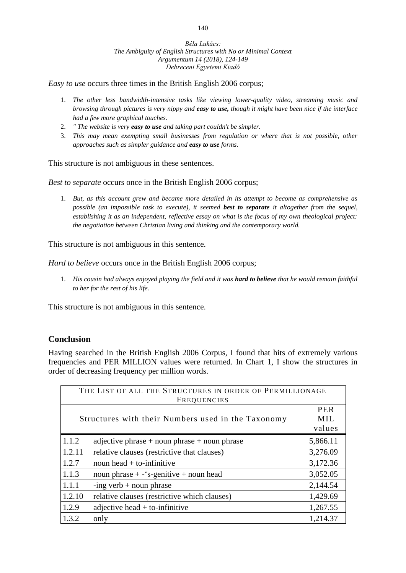*Easy to use* occurs three times in the British English 2006 corpus;

- 1. *The other less bandwidth-intensive tasks like viewing lower-quality video, streaming music and browsing through pictures is very nippy and easy to use, though it might have been nice if the interface had a few more graphical touches.*
- 2. *" The website is very easy to use and taking part couldn't be simpler.*
- 3. *This may mean exempting small businesses from regulation or where that is not possible, other approaches such as simpler guidance and easy to use forms.*

This structure is not ambiguous in these sentences.

*Best to separate* occurs once in the British English 2006 corpus;

1. *But, as this account grew and became more detailed in its attempt to become as comprehensive as possible (an impossible task to execute), it seemed best to separate it altogether from the sequel, establishing it as an independent, reflective essay on what is the focus of my own theological project: the negotiation between Christian living and thinking and the contemporary world.*

This structure is not ambiguous in this sentence.

*Hard to believe* occurs once in the British English 2006 corpus;

1. *His cousin had always enjoyed playing the field and it was hard to believe that he would remain faithful to her for the rest of his life.*

This structure is not ambiguous in this sentence.

## **Conclusion**

Having searched in the British English 2006 Corpus, I found that hits of extremely various frequencies and PER MILLION values were returned. In Chart 1, I show the structures in order of decreasing frequency per million words.

| THE LIST OF ALL THE STRUCTURES IN ORDER OF PERMILLIONAGE<br><b>FREQUENCIES</b> |                                                  |          |
|--------------------------------------------------------------------------------|--------------------------------------------------|----------|
| Structures with their Numbers used in the Taxonomy                             |                                                  |          |
| 1.1.2                                                                          | adjective phrase $+$ noun phrase $+$ noun phrase | 5,866.11 |
| 1.2.11                                                                         | relative clauses (restrictive that clauses)      | 3,276.09 |
| 1.2.7                                                                          | noun head $+$ to-infinitive                      | 3,172.36 |
| 1.1.3                                                                          | noun phrase $+ -$ 's-genitive $+$ noun head      | 3,052.05 |
| 1.1.1                                                                          | -ing verb $+$ noun phrase                        | 2,144.54 |
| 1.2.10                                                                         | relative clauses (restrictive which clauses)     | 1,429.69 |
| 1.2.9                                                                          | adjective head $+$ to-infinitive                 | 1,267.55 |
| 1.3.2                                                                          | only                                             | 1,214.37 |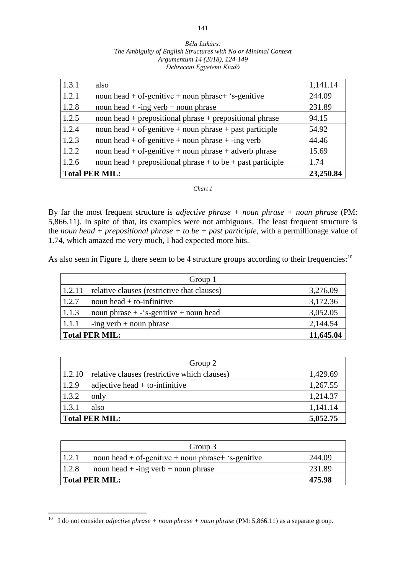| Béla Lukács:                                                   |
|----------------------------------------------------------------|
| The Ambiguity of English Structures with No or Minimal Context |
| Argumentum 14 (2018), 124-149                                  |
| Debreceni Egyetemi Kiadó                                       |

| 1.3.1                 | also                                                       | 1,141.14 |
|-----------------------|------------------------------------------------------------|----------|
| 1.2.1                 | noun head + of-genitive + noun phrase + 's-genitive        | 244.09   |
| 1.2.8                 | noun head $+$ -ing verb $+$ noun phrase                    | 231.89   |
| 1.2.5                 | noun head + prepositional phrase + prepositional phrase    | 94.15    |
| 1.2.4                 | noun head + of-genitive + noun phrase + past participle    | 54.92    |
| 1.2.3                 | noun head + of-genitive + noun phrase + -ing verb          | 44.46    |
| 1.2.2                 | noun head + of-genitive + noun phrase + adverb phrase      | 15.69    |
| 1.2.6                 | noun head + prepositional phrase + to be + past participle | 1.74     |
| <b>Total PER MIL:</b> | 23,250.84                                                  |          |

#### *Chart 1*

By far the most frequent structure is *adjective phrase + noun phrase + noun phrase* (PM: 5,866.11). In spite of that, its examples were not ambiguous. The least frequent structure is the *noun head + prepositional phrase + to be + past participle*, with a permillionage value of 1.74, which amazed me very much, I had expected more hits.

As also seen in Figure 1, there seem to be 4 structure groups according to their frequencies:  $10$ 

| Group 1                     |                                             |          |  |
|-----------------------------|---------------------------------------------|----------|--|
| 1.2.11                      | relative clauses (restrictive that clauses) | 3,276.09 |  |
| 1.2.7                       | noun head $+$ to-infinitive                 | 3,172.36 |  |
| 1.1.3                       | noun phrase $+$ - 's-genitive $+$ noun head | 3,052.05 |  |
| 1.1.1                       | $-$ ing verb + noun phrase                  | 2,144.54 |  |
| 11,645.04<br>Total PER MIL: |                                             |          |  |

| Group 2 |                                              |          |  |
|---------|----------------------------------------------|----------|--|
| 1.2.10  | relative clauses (restrictive which clauses) | 1,429.69 |  |
| 1.2.9   | adjective head $+$ to-infinitive             | 1,267.55 |  |
| 1.3.2   | only                                         | 1,214.37 |  |
| 1.3.1   | also                                         | 1,141.14 |  |
|         | <b>Total PER MIL:</b><br>5,052.75            |          |  |

| Group 3                         |                                                     |        |
|---------------------------------|-----------------------------------------------------|--------|
| 1.2.1                           | noun head + of-genitive + noun phrase + 's-genitive | 244.09 |
| 1.2.8                           | noun head $+$ -ing verb $+$ noun phrase             | 231.89 |
| <b>Total PER MIL:</b><br>475.98 |                                                     |        |

 $\overline{a}$ 

<sup>&</sup>lt;sup>10</sup> I do not consider *adjective phrase + noun phrase + noun phrase* (PM: 5,866.11) as a separate group.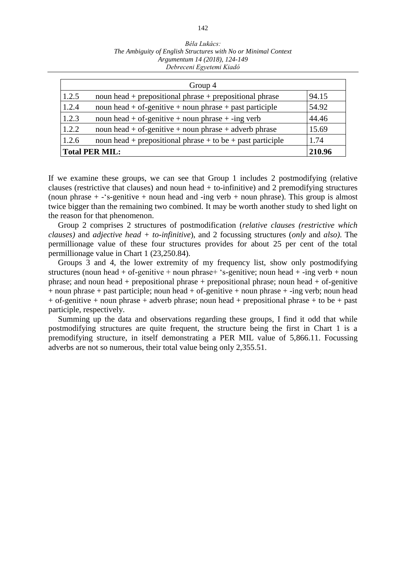| Group 4               |                                                             |        |
|-----------------------|-------------------------------------------------------------|--------|
| 1.2.5                 | noun head $+$ prepositional phrase $+$ prepositional phrase | 94.15  |
| 1.2.4                 | noun head + of-genitive + noun phrase + past participle     | 54.92  |
| 1.2.3                 | noun head + of-genitive + noun phrase + -ing verb           | 44.46  |
| 1.2.2                 | noun head + of-genitive + noun phrase + adverb phrase       | 15.69  |
| 1.2.6                 | noun head + prepositional phrase + to be + past participle  | 1.74   |
| <b>Total PER MIL:</b> |                                                             | 210.96 |

If we examine these groups, we can see that Group 1 includes 2 postmodifying (relative clauses (restrictive that clauses) and noun head + to-infinitive) and 2 premodifying structures (noun phrase  $+$  -'s-genitive  $+$  noun head and -ing verb  $+$  noun phrase). This group is almost twice bigger than the remaining two combined. It may be worth another study to shed light on the reason for that phenomenon.

Group 2 comprises 2 structures of postmodification (*relative clauses (restrictive which clauses)* and *adjective head + to-infinitive*), and 2 focussing structures (*only* and *also)*. The permillionage value of these four structures provides for about 25 per cent of the total permillionage value in Chart 1 (23,250.84).

Groups 3 and 4, the lower extremity of my frequency list, show only postmodifying structures (noun head + of-genitive + noun phrase + 's-genitive; noun head + -ing verb + noun phrase; and noun head + prepositional phrase + prepositional phrase; noun head + of-genitive  $+$  noun phrase  $+$  past participle; noun head  $+$  of-genitive  $+$  noun phrase  $+$  -ing verb; noun head  $+$  of-genitive  $+$  noun phrase  $+$  adverb phrase; noun head  $+$  prepositional phrase  $+$  to be  $+$  past participle, respectively.

Summing up the data and observations regarding these groups, I find it odd that while postmodifying structures are quite frequent, the structure being the first in Chart 1 is a premodifying structure, in itself demonstrating a PER MIL value of 5,866.11. Focussing adverbs are not so numerous, their total value being only 2,355.51.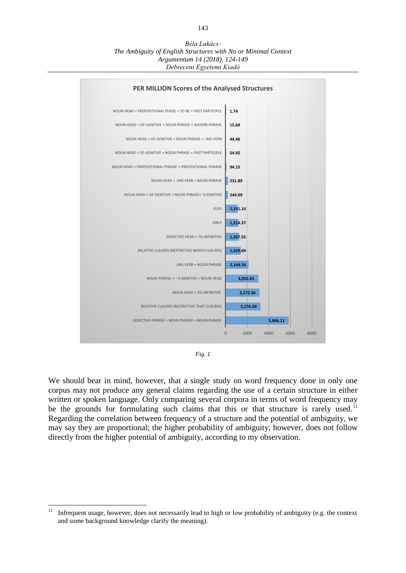*Béla Lukács: The Ambiguity of English Structures with No or Minimal Context Argumentum 14 (2018), 124-149 Debreceni Egyetemi Kiadó*



*Fig. 1*

We should bear in mind, however, that a single study on word frequency done in only one corpus may not produce any general claims regarding the use of a certain structure in either written or spoken language. Only comparing several corpora in terms of word frequency may be the grounds for formulating such claims that this or that structure is rarely used.<sup>11</sup> Regarding the correlation between frequency of a structure and the potential of ambiguity, we may say they are proportional; the higher probability of ambiguity, however, does not follow directly from the higher potential of ambiguity, according to my observation.

 $11$ <sup>11</sup> Infrequent usage, however, does not necessarily lead to high or low probability of ambiguity (e.g. the context and some background knowledge clarify the meaning).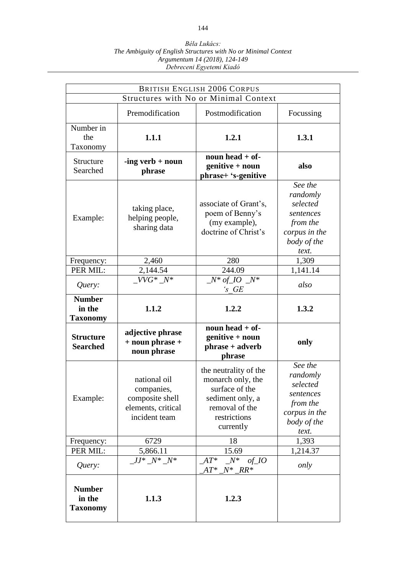| <b>BRITISH ENGLISH 2006 CORPUS</b>         |                                                                                      |                                                                                                                                 |                                                                                                   |  |
|--------------------------------------------|--------------------------------------------------------------------------------------|---------------------------------------------------------------------------------------------------------------------------------|---------------------------------------------------------------------------------------------------|--|
|                                            |                                                                                      | Structures with No or Minimal Context                                                                                           |                                                                                                   |  |
|                                            | Premodification                                                                      | Postmodification                                                                                                                | Focussing                                                                                         |  |
| Number in<br>the<br>Taxonomy               | 1.1.1                                                                                | 1.2.1                                                                                                                           | 1.3.1                                                                                             |  |
| Structure<br>Searched                      | $-$ ing verb + noun<br>phrase                                                        | noun head $+$ of-<br>genitive + noun<br>phrase+ 's-genitive                                                                     | also                                                                                              |  |
| Example:                                   | taking place,<br>helping people,<br>sharing data                                     | associate of Grant's,<br>poem of Benny's<br>(my example),<br>doctrine of Christ's                                               | See the<br>randomly<br>selected<br>sentences<br>from the<br>corpus in the<br>body of the<br>text. |  |
| Frequency:                                 | 2,460                                                                                | 280                                                                                                                             | 1,309                                                                                             |  |
| PER MIL:                                   | 2,144.54                                                                             | 244.09                                                                                                                          | 1,141.14                                                                                          |  |
| Query:                                     | $VVG^* N^*$                                                                          | $N^*$ of 10 $N^*$<br>$S \tGE$                                                                                                   | also                                                                                              |  |
| <b>Number</b><br>in the<br><b>Taxonomy</b> | 1.1.2                                                                                | 1.2.2                                                                                                                           | 1.3.2                                                                                             |  |
| <b>Structure</b><br><b>Searched</b>        | adjective phrase<br>$+$ noun phrase $+$<br>noun phrase                               | noun head $+$ of-<br>genitive + noun<br>phrase + adverb<br>phrase                                                               | only                                                                                              |  |
| Example:                                   | national oil<br>companies,<br>composite shell<br>elements, critical<br>incident team | the neutrality of the<br>monarch only, the<br>surface of the<br>sediment only, a<br>removal of the<br>restrictions<br>currently | See the<br>randomly<br>selected<br>sentences<br>from the<br>corpus in the<br>body of the<br>text. |  |
| Frequency:                                 | 6729                                                                                 | 18                                                                                                                              | 1,393                                                                                             |  |
| PER MIL:                                   | 5,866.11                                                                             | 15.69                                                                                                                           | 1,214.37                                                                                          |  |
| Query:                                     | $JJ^* N^* N^*$                                                                       | $AT^*$<br>$N^*$<br>$of\_IO$<br>$AT^*$<br>$N^*$ RR <sup>*</sup>                                                                  | only                                                                                              |  |
| <b>Number</b><br>in the<br><b>Taxonomy</b> | 1.1.3                                                                                | 1.2.3                                                                                                                           |                                                                                                   |  |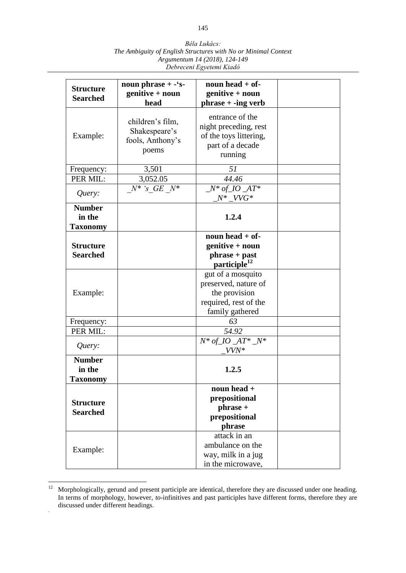| Béla Lukács:                                                   |
|----------------------------------------------------------------|
| The Ambiguity of English Structures with No or Minimal Context |
| Argumentum 14 (2018), 124-149                                  |
| Debreceni Egyetemi Kiadó                                       |

| <b>Structure</b><br><b>Searched</b>        | noun phrase $+ -$ 's-<br>genitive + noun<br>head               | noun head $+$ of-<br>genitive + noun<br>$phrase + -ing verb$                                           |  |
|--------------------------------------------|----------------------------------------------------------------|--------------------------------------------------------------------------------------------------------|--|
| Example:                                   | children's film,<br>Shakespeare's<br>fools, Anthony's<br>poems | entrance of the<br>night preceding, rest<br>of the toys littering,<br>part of a decade<br>running      |  |
| Frequency:                                 | 3,501                                                          | 51                                                                                                     |  |
| PER MIL:                                   | 3,052.05                                                       | 44.46                                                                                                  |  |
| Query:                                     | $N^*$ 's GE $N^*$                                              | $N^*$ of 10 $AT^*$<br>$N^*$ VVG*                                                                       |  |
| <b>Number</b><br>in the<br><b>Taxonomy</b> |                                                                | 1.2.4                                                                                                  |  |
| <b>Structure</b><br><b>Searched</b>        |                                                                | noun head $+$ of-<br>genitive + noun<br>phrase + past<br>participle <sup>12</sup>                      |  |
| Example:                                   |                                                                | gut of a mosquito<br>preserved, nature of<br>the provision<br>required, rest of the<br>family gathered |  |
| Frequency:                                 |                                                                | 63                                                                                                     |  |
| PER MIL:                                   |                                                                | 54.92                                                                                                  |  |
| Query:                                     |                                                                | $N^*$ of $IO$ $AT^*$ $N^*$<br>VVN*                                                                     |  |
| <b>Number</b><br>in the<br><b>Taxonomy</b> |                                                                | 1.2.5                                                                                                  |  |
| <b>Structure</b><br><b>Searched</b>        |                                                                | noun head $+$<br>prepositional<br>phrase +<br>prepositional<br>phrase                                  |  |
| Example:                                   |                                                                | attack in an<br>ambulance on the<br>way, milk in a jug<br>in the microwave,                            |  |

 $12$  $12$  Morphologically, gerund and present participle are identical, therefore they are discussed under one heading. In terms of morphology, however, *to*-infinitives and past participles have different forms, therefore they are discussed under different headings. .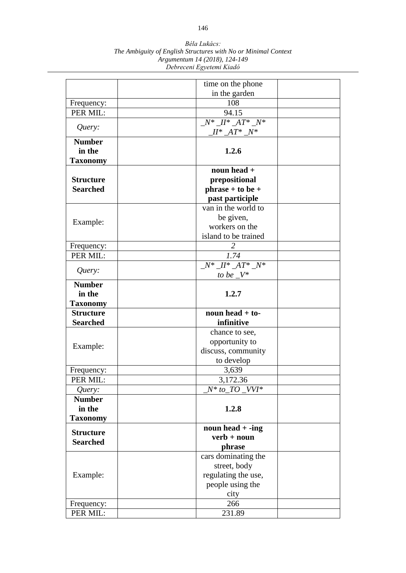|                  | time on the phone                    |  |
|------------------|--------------------------------------|--|
|                  | in the garden                        |  |
| Frequency:       | 108                                  |  |
| PER MIL:         | 94.15                                |  |
|                  | $N^*$ $II^*$ $AT^*$ $N^*$            |  |
| Query:           | $I^* A T^* N^*$                      |  |
| <b>Number</b>    |                                      |  |
| in the           | 1.2.6                                |  |
| <b>Taxonomy</b>  |                                      |  |
|                  | noun head +                          |  |
| <b>Structure</b> | prepositional                        |  |
| <b>Searched</b>  | $phrase + to be +$                   |  |
|                  | past participle                      |  |
|                  | van in the world to                  |  |
| Example:         | be given,                            |  |
|                  | workers on the                       |  |
|                  | island to be trained                 |  |
| Frequency:       |                                      |  |
| PER MIL:         | 1.74                                 |  |
|                  | $\overline{N^* \_H^* \_A T^* \_N^*}$ |  |
| Query:           | to be $V^*$                          |  |
| <b>Number</b>    |                                      |  |
| in the           | 1.2.7                                |  |
| <b>Taxonomy</b>  |                                      |  |
| <b>Structure</b> | noun head $+$ to-                    |  |
| <b>Searched</b>  | infinitive                           |  |
|                  | chance to see,                       |  |
|                  | opportunity to                       |  |
| Example:         | discuss, community                   |  |
|                  | to develop                           |  |
| Frequency:       | 3,639                                |  |
| PER MIL:         | $\overline{3,172.36}$                |  |
| Query:           | $N^*$ to $TO$ $VVI^*$                |  |
| <b>Number</b>    |                                      |  |
| in the           | 1.2.8                                |  |
| <b>Taxonomy</b>  |                                      |  |
| <b>Structure</b> | noun head $+$ -ing                   |  |
| <b>Searched</b>  | $verb + noun$                        |  |
|                  | phrase                               |  |
|                  | cars dominating the                  |  |
|                  | street, body                         |  |
| Example:         | regulating the use,                  |  |
|                  | people using the                     |  |
|                  | city                                 |  |
| Frequency:       | 266                                  |  |
| PER MIL:         | 231.89                               |  |

*Béla Lukács: The Ambiguity of English Structures with No or Minimal Context Argumentum 14 (2018), 124-149 Debreceni Egyetemi Kiadó*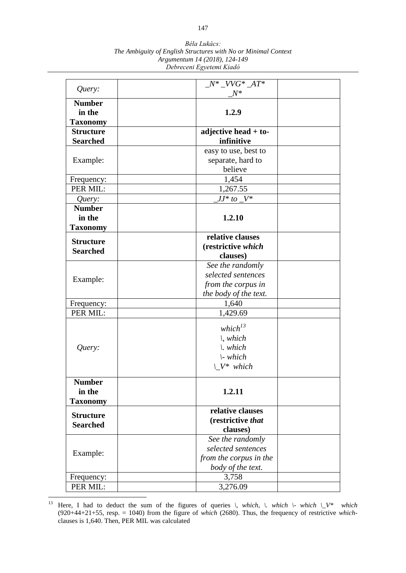| Query:           | $N^*$ $VVG^*$ $AT^*$<br>$N^*$ |  |
|------------------|-------------------------------|--|
| <b>Number</b>    |                               |  |
| in the           | 1.2.9                         |  |
| <b>Taxonomy</b>  |                               |  |
| <b>Structure</b> | adjective head $+$ to-        |  |
| <b>Searched</b>  | infinitive                    |  |
|                  | easy to use, best to          |  |
| Example:         | separate, hard to             |  |
|                  | believe                       |  |
| Frequency:       | 1,454                         |  |
| PER MIL:         | 1,267.55                      |  |
| Query:           | $JJ^*$ to $V^*$               |  |
| <b>Number</b>    |                               |  |
| in the           | 1.2.10                        |  |
| <b>Taxonomy</b>  |                               |  |
|                  | relative clauses              |  |
| <b>Structure</b> | (restrictive which            |  |
| <b>Searched</b>  | clauses)                      |  |
|                  | See the randomly              |  |
|                  | selected sentences            |  |
| Example:         | from the corpus in            |  |
|                  | the body of the text.         |  |
| Frequency:       | 1,640                         |  |
| PER MIL:         | 1,429.69                      |  |
|                  |                               |  |
|                  | which $l^3$                   |  |
|                  | $\backslash$ , which          |  |
| Query:           | $\mathcal{N}$ . which         |  |
|                  | $\mathcal{L}$ which           |  |
|                  | $V^*$ which                   |  |
| <b>Number</b>    |                               |  |
| in the           | 1.2.11                        |  |
| <b>Taxonomy</b>  |                               |  |
|                  | relative clauses              |  |
| <b>Structure</b> | (restrictive that             |  |
| <b>Searched</b>  | clauses)                      |  |
|                  | See the randomly              |  |
|                  | selected sentences            |  |
| Example:         | from the corpus in the        |  |
|                  | body of the text.             |  |
| Frequency:       | 3,758                         |  |
| PER MIL:         | 3,276.09                      |  |
|                  |                               |  |

 $13$ Here, I had to deduct the sum of the figures of queries  $\lambda$ , which,  $\lambda$  which  $\lambda$  **which**  $\lambda$  **which** (920+44+21+55, resp. = 1040) from the figure of *which* (2680). Thus, the frequency of restrictive *which*clauses is 1,640. Then, PER MIL was calculated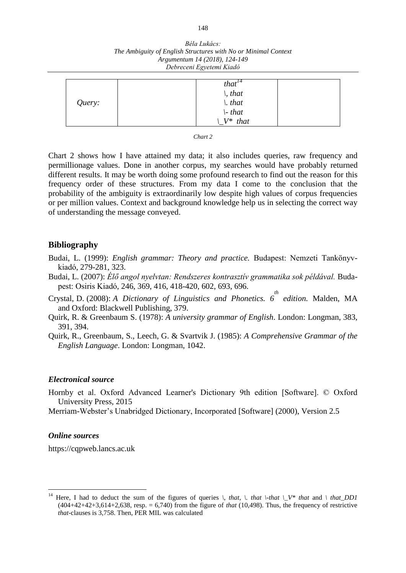|        | that <sup>14</sup>      |  |
|--------|-------------------------|--|
| Query: |                         |  |
|        |                         |  |
|        | \, that \. that \. that |  |
|        | $V^*$ that              |  |

*Chart 2*

Chart 2 shows how I have attained my data; it also includes queries, raw frequency and permillionage values. Done in another corpus, my searches would have probably returned different results. It may be worth doing some profound research to find out the reason for this frequency order of these structures. From my data I come to the conclusion that the probability of the ambiguity is extraordinarily low despite high values of corpus frequencies or per million values. Context and background knowledge help us in selecting the correct way of understanding the message conveyed.

## **Bibliography**

- Budai, L. (1999): *English grammar: Theory and practice.* Budapest: Nemzeti Tankönyvkiadó, 279-281, 323.
- Budai, L. (2007): *Élő angol nyelvtan: Rendszeres kontrasztív grammatika sok példával.* Budapest: Osiris Kiadó, 246, 369, 416, 418-420, 602, 693, 696.
- Crystal, D. (2008): *A Dictionary of Linguistics and Phonetics.* 6<sup>th</sup> edition. Malden, MA and Oxford: Blackwell Publishing, 379.
- Quirk, R. & Greenbaum S. (1978): *A university grammar of English*. London: Longman, 383, 391, 394.
- Quirk, R., Greenbaum, S., Leech, G. & Svartvik J. (1985): *A Comprehensive Grammar of the English Language*. London: Longman, 1042.

#### *Electronical source*

- Hornby et al. Oxford Advanced Learner's Dictionary 9th edition [Software]. © Oxford University Press, 2015
- Merriam-Webster's Unabridged Dictionary, Incorporated [Software] (2000), Version 2.5

#### *Online sources*

 $\overline{a}$ 

https://cqpweb.lancs.ac.uk

<sup>&</sup>lt;sup>14</sup> Here, I had to deduct the sum of the figures of queries  $\lambda$ , that,  $\lambda$ , that  $\lambda$ -that  $\lambda$ (404+42+42+3,614+2,638, resp. = 6,740) from the figure of *that* (10,498). Thus, the frequency of restrictive *that*-clauses is 3,758. Then, PER MIL was calculated